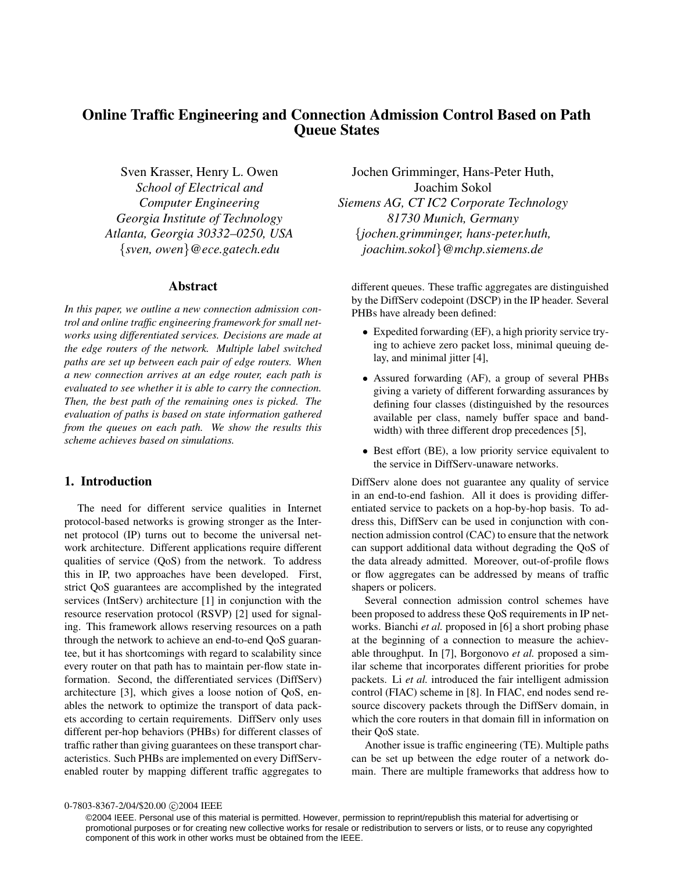# **Online Traffic Engineering and Connection Admission Control Based on Path Queue States**

Sven Krasser, Henry L. Owen *School of Electrical and Computer Engineering Georgia Institute of Technology Atlanta, Georgia 30332–0250, USA* {*sven, owen*}*@ece.gatech.edu*

## **Abstract**

*In this paper, we outline a new connection admission control and online traffic engineering framework for small networks using differentiated services. Decisions are made at the edge routers of the network. Multiple label switched paths are set up between each pair of edge routers. When a new connection arrives at an edge router, each path is evaluated to see whether it is able to carry the connection. Then, the best path of the remaining ones is picked. The evaluation of paths is based on state information gathered from the queues on each path. We show the results this scheme achieves based on simulations.*

### **1. Introduction**

The need for different service qualities in Internet protocol-based networks is growing stronger as the Internet protocol (IP) turns out to become the universal network architecture. Different applications require different qualities of service (QoS) from the network. To address this in IP, two approaches have been developed. First, strict QoS guarantees are accomplished by the integrated services (IntServ) architecture [1] in conjunction with the resource reservation protocol (RSVP) [2] used for signaling. This framework allows reserving resources on a path through the network to achieve an end-to-end QoS guarantee, but it has shortcomings with regard to scalability since every router on that path has to maintain per-flow state information. Second, the differentiated services (DiffServ) architecture [3], which gives a loose notion of QoS, enables the network to optimize the transport of data packets according to certain requirements. DiffServ only uses different per-hop behaviors (PHBs) for different classes of traffic rather than giving guarantees on these transport characteristics. Such PHBs are implemented on every DiffServenabled router by mapping different traffic aggregates to

Jochen Grimminger, Hans-Peter Huth, Joachim Sokol *Siemens AG, CT IC2 Corporate Technology 81730 Munich, Germany* {*jochen.grimminger, hans-peter.huth, joachim.sokol*}*@mchp.siemens.de*

different queues. These traffic aggregates are distinguished by the DiffServ codepoint (DSCP) in the IP header. Several PHBs have already been defined:

- Expedited forwarding (EF), a high priority service trying to achieve zero packet loss, minimal queuing delay, and minimal jitter [4],
- Assured forwarding (AF), a group of several PHBs giving a variety of different forwarding assurances by defining four classes (distinguished by the resources available per class, namely buffer space and bandwidth) with three different drop precedences [5],
- Best effort (BE), a low priority service equivalent to the service in DiffServ-unaware networks.

DiffServ alone does not guarantee any quality of service in an end-to-end fashion. All it does is providing differentiated service to packets on a hop-by-hop basis. To address this, DiffServ can be used in conjunction with connection admission control (CAC) to ensure that the network can support additional data without degrading the QoS of the data already admitted. Moreover, out-of-profile flows or flow aggregates can be addressed by means of traffic shapers or policers.

Several connection admission control schemes have been proposed to address these QoS requirements in IP networks. Bianchi *et al.* proposed in [6] a short probing phase at the beginning of a connection to measure the achievable throughput. In [7], Borgonovo *et al.* proposed a similar scheme that incorporates different priorities for probe packets. Li *et al.* introduced the fair intelligent admission control (FIAC) scheme in [8]. In FIAC, end nodes send resource discovery packets through the DiffServ domain, in which the core routers in that domain fill in information on their QoS state.

Another issue is traffic engineering (TE). Multiple paths can be set up between the edge router of a network domain. There are multiple frameworks that address how to

#### 0-7803-8367-2/04/\$20.00 ©2004 IEEE

<sup>©2004</sup> IEEE. Personal use of this material is permitted. However, permission to reprint/republish this material for advertising or promotional purposes or for creating new collective works for resale or redistribution to servers or lists, or to reuse any copyrighted component of this work in other works must be obtained from the IEEE.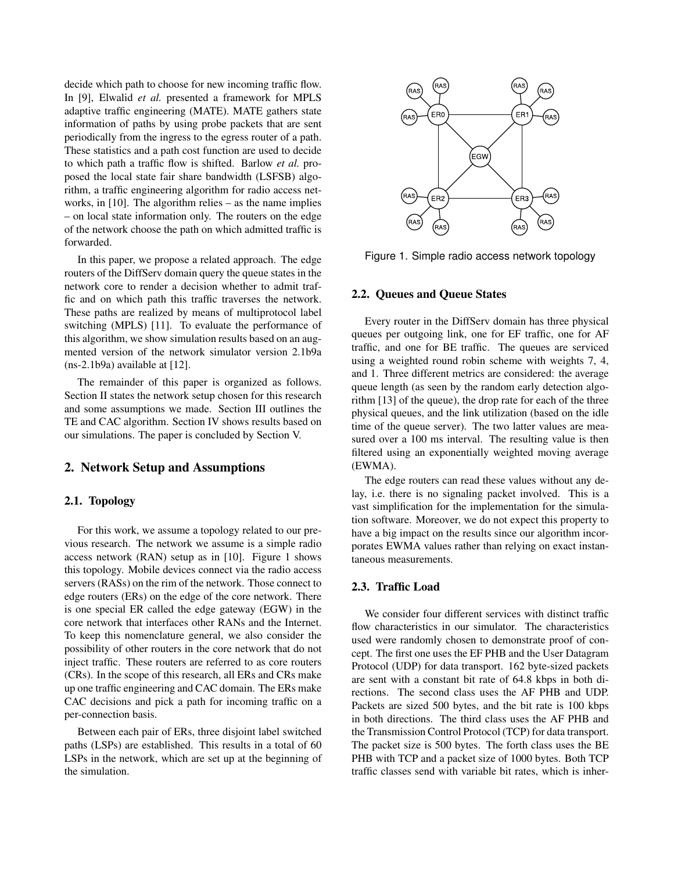decide which path to choose for new incoming traffic flow. In [9], Elwalid *et al.* presented a framework for MPLS adaptive traffic engineering (MATE). MATE gathers state information of paths by using probe packets that are sent periodically from the ingress to the egress router of a path. These statistics and a path cost function are used to decide to which path a traffic flow is shifted. Barlow *et al.* proposed the local state fair share bandwidth (LSFSB) algorithm, a traffic engineering algorithm for radio access networks, in [10]. The algorithm relies – as the name implies – on local state information only. The routers on the edge of the network choose the path on which admitted traffic is forwarded.

In this paper, we propose a related approach. The edge routers of the DiffServ domain query the queue states in the network core to render a decision whether to admit traffic and on which path this traffic traverses the network. These paths are realized by means of multiprotocol label switching (MPLS) [11]. To evaluate the performance of this algorithm, we show simulation results based on an augmented version of the network simulator version 2.1b9a  $(ns-2.1b9a)$  available at  $[12]$ .

The remainder of this paper is organized as follows. Section II states the network setup chosen for this research and some assumptions we made. Section III outlines the TE and CAC algorithm. Section IV shows results based on our simulations. The paper is concluded by Section V.

#### **2. Network Setup and Assumptions**

## **2.1. Topology**

For this work, we assume a topology related to our previous research. The network we assume is a simple radio access network (RAN) setup as in [10]. Figure 1 shows this topology. Mobile devices connect via the radio access servers (RASs) on the rim of the network. Those connect to edge routers (ERs) on the edge of the core network. There is one special ER called the edge gateway (EGW) in the core network that interfaces other RANs and the Internet. To keep this nomenclature general, we also consider the possibility of other routers in the core network that do not inject traffic. These routers are referred to as core routers (CRs). In the scope of this research, all ERs and CRs make up one traffic engineering and CAC domain. The ERs make CAC decisions and pick a path for incoming traffic on a per-connection basis.

Between each pair of ERs, three disjoint label switched paths (LSPs) are established. This results in a total of 60 LSPs in the network, which are set up at the beginning of the simulation.



Figure 1. Simple radio access network topology

#### **2.2. Queues and Queue States**

Every router in the DiffServ domain has three physical queues per outgoing link, one for EF traffic, one for AF traffic, and one for BE traffic. The queues are serviced using a weighted round robin scheme with weights 7, 4, and 1. Three different metrics are considered: the average queue length (as seen by the random early detection algorithm [13] of the queue), the drop rate for each of the three physical queues, and the link utilization (based on the idle time of the queue server). The two latter values are measured over a 100 ms interval. The resulting value is then filtered using an exponentially weighted moving average (EWMA).

The edge routers can read these values without any delay, i.e. there is no signaling packet involved. This is a vast simplification for the implementation for the simulation software. Moreover, we do not expect this property to have a big impact on the results since our algorithm incorporates EWMA values rather than relying on exact instantaneous measurements.

#### **2.3. Traffic Load**

We consider four different services with distinct traffic flow characteristics in our simulator. The characteristics used were randomly chosen to demonstrate proof of concept. The first one uses the EF PHB and the User Datagram Protocol (UDP) for data transport. 162 byte-sized packets are sent with a constant bit rate of 64.8 kbps in both directions. The second class uses the AF PHB and UDP. Packets are sized 500 bytes, and the bit rate is 100 kbps in both directions. The third class uses the AF PHB and the Transmission Control Protocol (TCP) for data transport. The packet size is 500 bytes. The forth class uses the BE PHB with TCP and a packet size of 1000 bytes. Both TCP traffic classes send with variable bit rates, which is inher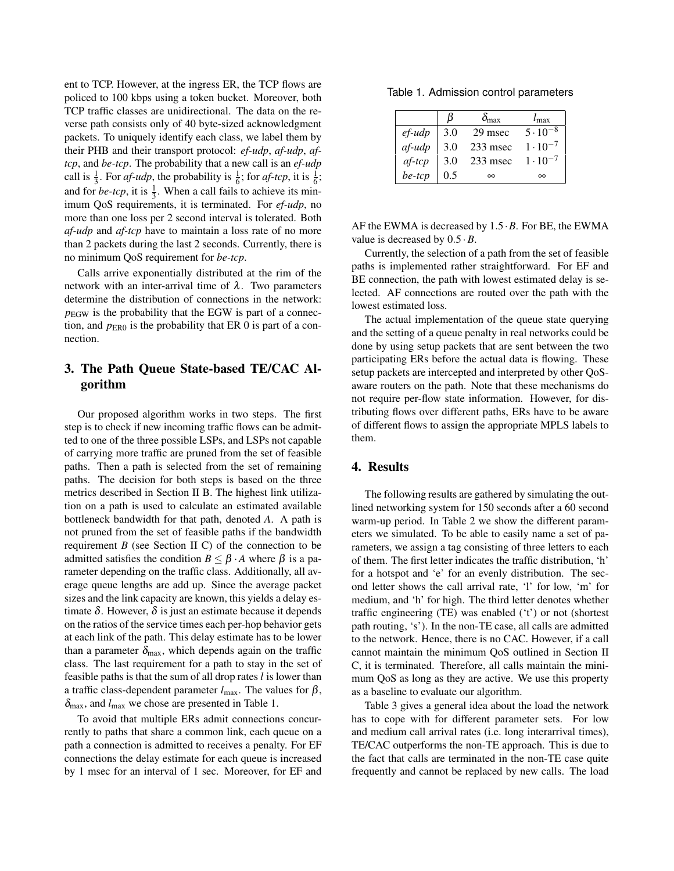ent to TCP. However, at the ingress ER, the TCP flows are policed to 100 kbps using a token bucket. Moreover, both TCP traffic classes are unidirectional. The data on the reverse path consists only of 40 byte-sized acknowledgment packets. To uniquely identify each class, we label them by their PHB and their transport protocol: *ef-udp*, *af-udp*, *aftcp*, and *be-tcp*. The probability that a new call is an *ef-udp* call is  $\frac{1}{3}$ . For *af-udp*, the probability is  $\frac{1}{6}$ ; for *af-tcp*, it is  $\frac{1}{6}$ ; and for *be-tcp*, it is  $\frac{1}{3}$ . When a call fails to achieve its minimum QoS requirements, it is terminated. For *ef-udp*, no more than one loss per 2 second interval is tolerated. Both *af-udp* and *af-tcp* have to maintain a loss rate of no more than 2 packets during the last 2 seconds. Currently, there is no minimum QoS requirement for *be-tcp*.

Calls arrive exponentially distributed at the rim of the network with an inter-arrival time of  $\lambda$ . Two parameters determine the distribution of connections in the network:  $p_{\text{EGW}}$  is the probability that the EGW is part of a connection, and  $p_{ER0}$  is the probability that ER 0 is part of a connection.

# **3. The Path Queue State-based TE/CAC Algorithm**

Our proposed algorithm works in two steps. The first step is to check if new incoming traffic flows can be admitted to one of the three possible LSPs, and LSPs not capable of carrying more traffic are pruned from the set of feasible paths. Then a path is selected from the set of remaining paths. The decision for both steps is based on the three metrics described in Section II B. The highest link utilization on a path is used to calculate an estimated available bottleneck bandwidth for that path, denoted *A*. A path is not pruned from the set of feasible paths if the bandwidth requirement *B* (see Section II C) of the connection to be admitted satisfies the condition  $B \leq \beta \cdot A$  where  $\beta$  is a parameter depending on the traffic class. Additionally, all average queue lengths are add up. Since the average packet sizes and the link capacity are known, this yields a delay estimate  $\delta$ . However,  $\delta$  is just an estimate because it depends on the ratios of the service times each per-hop behavior gets at each link of the path. This delay estimate has to be lower than a parameter  $\delta_{\text{max}}$ , which depends again on the traffic class. The last requirement for a path to stay in the set of feasible paths is that the sum of all drop rates *l* is lower than a traffic class-dependent parameter  $l_{\text{max}}$ . The values for  $β$ , <sup>δ</sup>max, and *l*max we chose are presented in Table 1.

To avoid that multiple ERs admit connections concurrently to paths that share a common link, each queue on a path a connection is admitted to receives a penalty. For EF connections the delay estimate for each queue is increased by 1 msec for an interval of 1 sec. Moreover, for EF and

Table 1. Admission control parameters

|           |     | max        | max               |
|-----------|-----|------------|-------------------|
| $ef$ -udp | 3.0 | 29 msec    | $5 \cdot 10^{-7}$ |
| af-udp    | 3.0 | $233$ msec | $1 \cdot 10^{-7}$ |
| $af$ -tcp | 3.0 | $233$ msec | $1 \cdot 10^{-7}$ |
| $be$ -tcp | 05  | $\infty$   | ഹ                 |

AF the EWMA is decreased by 1.5·*B*. For BE, the EWMA value is decreased by  $0.5 \cdot B$ .

Currently, the selection of a path from the set of feasible paths is implemented rather straightforward. For EF and BE connection, the path with lowest estimated delay is selected. AF connections are routed over the path with the lowest estimated loss.

The actual implementation of the queue state querying and the setting of a queue penalty in real networks could be done by using setup packets that are sent between the two participating ERs before the actual data is flowing. These setup packets are intercepted and interpreted by other QoSaware routers on the path. Note that these mechanisms do not require per-flow state information. However, for distributing flows over different paths, ERs have to be aware of different flows to assign the appropriate MPLS labels to them.

#### **4. Results**

The following results are gathered by simulating the outlined networking system for 150 seconds after a 60 second warm-up period. In Table 2 we show the different parameters we simulated. To be able to easily name a set of parameters, we assign a tag consisting of three letters to each of them. The first letter indicates the traffic distribution, 'h' for a hotspot and 'e' for an evenly distribution. The second letter shows the call arrival rate, 'l' for low, 'm' for medium, and 'h' for high. The third letter denotes whether traffic engineering (TE) was enabled ('t') or not (shortest path routing, 's'). In the non-TE case, all calls are admitted to the network. Hence, there is no CAC. However, if a call cannot maintain the minimum QoS outlined in Section II C, it is terminated. Therefore, all calls maintain the minimum QoS as long as they are active. We use this property as a baseline to evaluate our algorithm.

Table 3 gives a general idea about the load the network has to cope with for different parameter sets. For low and medium call arrival rates (i.e. long interarrival times), TE/CAC outperforms the non-TE approach. This is due to the fact that calls are terminated in the non-TE case quite frequently and cannot be replaced by new calls. The load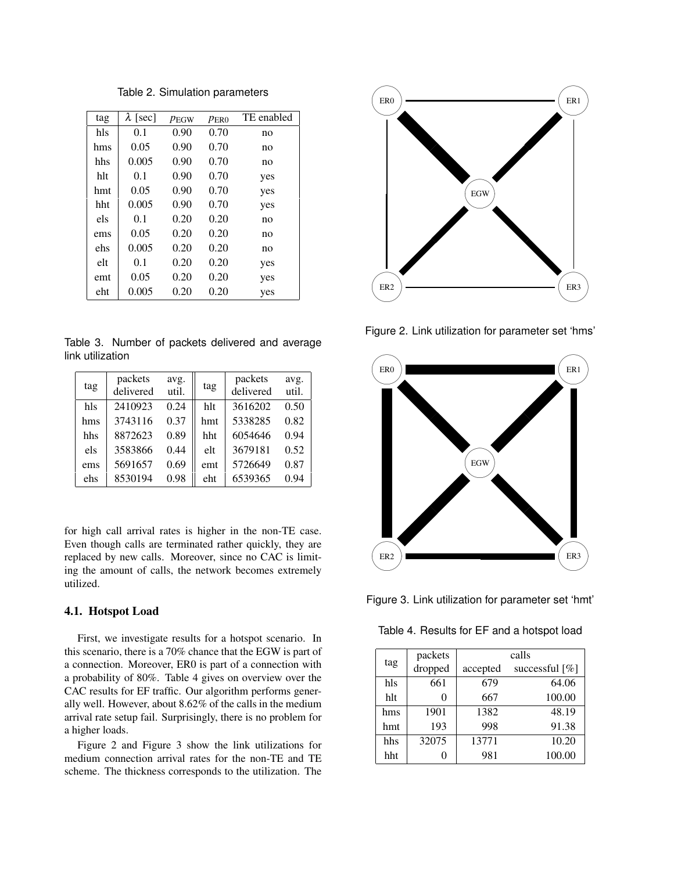Table 2. Simulation parameters

| tag | $\lambda$ [sec] | $p_{\text{EGW}}$ | P <sub>ER0</sub> | TE enabled |
|-----|-----------------|------------------|------------------|------------|
| hls | 0.1             | 0.90             | 0.70             | no         |
| hms | 0.05            | 0.90             | 0.70             | no         |
| hhs | 0.005           | 0.90             | 0.70             | no         |
| hlt | 0.1             | 0.90             | 0.70             | yes        |
| hmt | 0.05            | 0.90             | 0.70             | yes        |
| hht | 0.005           | 0.90             | 0.70             | yes        |
| els | 0.1             | 0.20             | 0.20             | no         |
| ems | 0.05            | 0.20             | 0.20             | no         |
| ehs | 0.005           | 0.20             | 0.20             | no         |
| elt | 0.1             | 0.20             | 0.20             | yes        |
| emt | 0.05            | 0.20             | 0.20             | yes        |
| eht | 0.005           | 0.20             | 0.20             | yes        |

Table 3. Number of packets delivered and average link utilization

| tag | packets<br>delivered | avg.<br>util. | tag | packets<br>delivered | avg.<br>util. |
|-----|----------------------|---------------|-----|----------------------|---------------|
| hls | 2410923              | 0.24          | hlt | 3616202              | 0.50          |
| hms | 3743116              | 0.37          | hmt | 5338285              | 0.82          |
| hhs | 8872623              | 0.89          | hht | 6054646              | 0.94          |
| els | 3583866              | 0.44          | elt | 3679181              | 0.52          |
| ems | 5691657              | 0.69          | emt | 5726649              | 0.87          |
| ehs | 8530194              | 0.98          | eht | 6539365              | 0.94          |

for high call arrival rates is higher in the non-TE case. Even though calls are terminated rather quickly, they are replaced by new calls. Moreover, since no CAC is limiting the amount of calls, the network becomes extremely utilized.

## **4.1. Hotspot Load**

First, we investigate results for a hotspot scenario. In this scenario, there is a 70% chance that the EGW is part of a connection. Moreover, ER0 is part of a connection with a probability of 80%. Table 4 gives on overview over the CAC results for EF traffic. Our algorithm performs generally well. However, about 8.62% of the calls in the medium arrival rate setup fail. Surprisingly, there is no problem for a higher loads.

Figure 2 and Figure 3 show the link utilizations for medium connection arrival rates for the non-TE and TE scheme. The thickness corresponds to the utilization. The



Figure 2. Link utilization for parameter set 'hms'



Figure 3. Link utilization for parameter set 'hmt'

Table 4. Results for EF and a hotspot load

|     | packets | calls    |                               |  |
|-----|---------|----------|-------------------------------|--|
| tag | dropped | accepted | successful $\lceil \% \rceil$ |  |
| hls | 661     | 679      | 64.06                         |  |
| hlt | 0       | 667      | 100.00                        |  |
| hms | 1901    | 1382     | 48.19                         |  |
| hmt | 193     | 998      | 91.38                         |  |
| hhs | 32075   | 13771    | 10.20                         |  |
| hht | 0       | 981      | 100.00                        |  |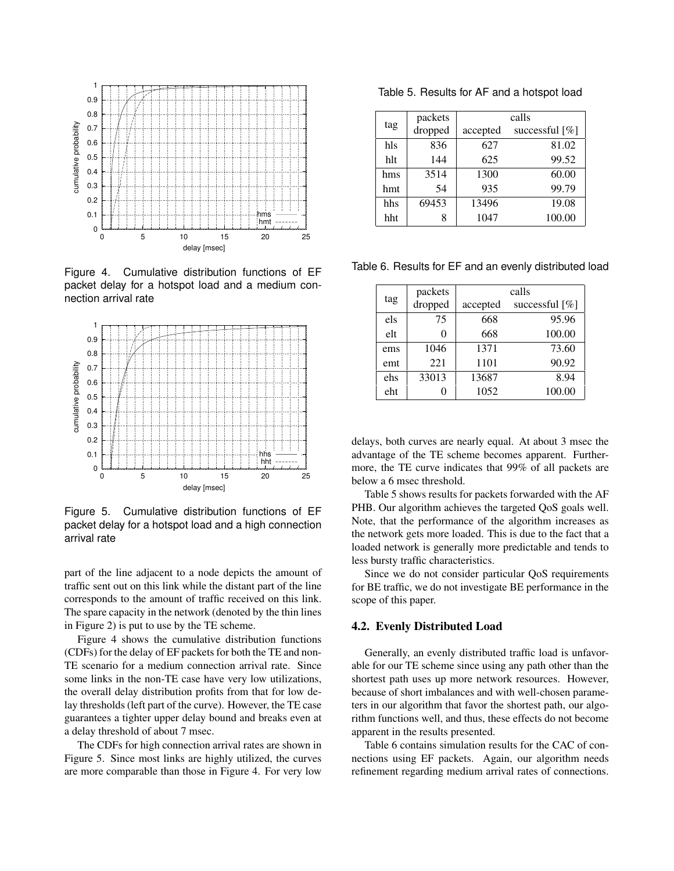

Figure 4. Cumulative distribution functions of EF packet delay for a hotspot load and a medium connection arrival rate



Figure 5. Cumulative distribution functions of EF packet delay for a hotspot load and a high connection arrival rate

part of the line adjacent to a node depicts the amount of traffic sent out on this link while the distant part of the line corresponds to the amount of traffic received on this link. The spare capacity in the network (denoted by the thin lines in Figure 2) is put to use by the TE scheme.

Figure 4 shows the cumulative distribution functions (CDFs) for the delay of EF packets for both the TE and non-TE scenario for a medium connection arrival rate. Since some links in the non-TE case have very low utilizations, the overall delay distribution profits from that for low delay thresholds (left part of the curve). However, the TE case guarantees a tighter upper delay bound and breaks even at a delay threshold of about 7 msec.

The CDFs for high connection arrival rates are shown in Figure 5. Since most links are highly utilized, the curves are more comparable than those in Figure 4. For very low

Table 5. Results for AF and a hotspot load

|     | packets | calls    |                   |  |
|-----|---------|----------|-------------------|--|
| tag | dropped | accepted | successful $[\%]$ |  |
| hls | 836     | 627      | 81.02             |  |
| hlt | 144     | 625      | 99.52             |  |
| hms | 3514    | 1300     | 60.00             |  |
| hmt | 54      | 935      | 99.79             |  |
| hhs | 69453   | 13496    | 19.08             |  |
| hht | 8       | 1047     | 100.00            |  |

Table 6. Results for EF and an evenly distributed load

|     | packets | calls    |                               |  |
|-----|---------|----------|-------------------------------|--|
| tag | dropped | accepted | successful $\lceil \% \rceil$ |  |
| els | 75      | 668      | 95.96                         |  |
| elt | 0       | 668      | 100.00                        |  |
| ems | 1046    | 1371     | 73.60                         |  |
| emt | 221     | 1101     | 90.92                         |  |
| ehs | 33013   | 13687    | 8.94                          |  |
| eht |         | 1052     | 100.00                        |  |

delays, both curves are nearly equal. At about 3 msec the advantage of the TE scheme becomes apparent. Furthermore, the TE curve indicates that 99% of all packets are below a 6 msec threshold.

Table 5 shows results for packets forwarded with the AF PHB. Our algorithm achieves the targeted QoS goals well. Note, that the performance of the algorithm increases as the network gets more loaded. This is due to the fact that a loaded network is generally more predictable and tends to less bursty traffic characteristics.

Since we do not consider particular QoS requirements for BE traffic, we do not investigate BE performance in the scope of this paper.

#### **4.2. Evenly Distributed Load**

Generally, an evenly distributed traffic load is unfavorable for our TE scheme since using any path other than the shortest path uses up more network resources. However, because of short imbalances and with well-chosen parameters in our algorithm that favor the shortest path, our algorithm functions well, and thus, these effects do not become apparent in the results presented.

Table 6 contains simulation results for the CAC of connections using EF packets. Again, our algorithm needs refinement regarding medium arrival rates of connections.